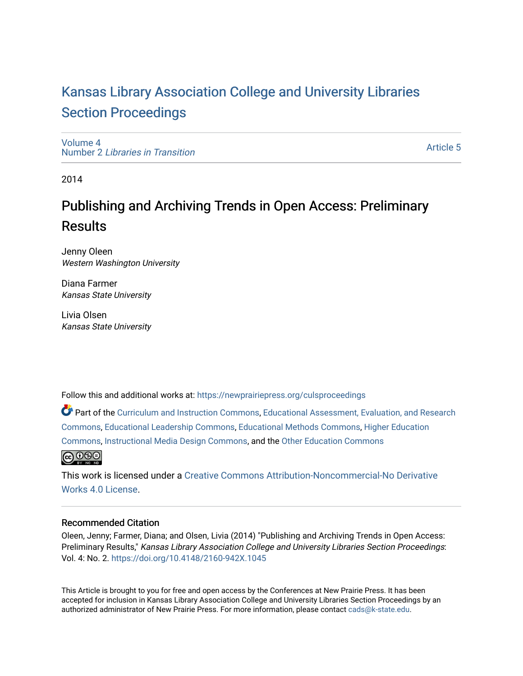# [Kansas Library Association College and University Libraries](https://newprairiepress.org/culsproceedings)  [Section Proceedings](https://newprairiepress.org/culsproceedings)

[Volume 4](https://newprairiepress.org/culsproceedings/vol4) Number 2 [Libraries in Transition](https://newprairiepress.org/culsproceedings/vol4/iss2) 

[Article 5](https://newprairiepress.org/culsproceedings/vol4/iss2/5) 

2014

# Publishing and Archiving Trends in Open Access: Preliminary Results

Jenny Oleen Western Washington University

Diana Farmer Kansas State University

Livia Olsen Kansas State University

Follow this and additional works at: [https://newprairiepress.org/culsproceedings](https://newprairiepress.org/culsproceedings?utm_source=newprairiepress.org%2Fculsproceedings%2Fvol4%2Fiss2%2F5&utm_medium=PDF&utm_campaign=PDFCoverPages)

Part of the [Curriculum and Instruction Commons,](http://network.bepress.com/hgg/discipline/786?utm_source=newprairiepress.org%2Fculsproceedings%2Fvol4%2Fiss2%2F5&utm_medium=PDF&utm_campaign=PDFCoverPages) [Educational Assessment, Evaluation, and Research](http://network.bepress.com/hgg/discipline/796?utm_source=newprairiepress.org%2Fculsproceedings%2Fvol4%2Fiss2%2F5&utm_medium=PDF&utm_campaign=PDFCoverPages)  [Commons](http://network.bepress.com/hgg/discipline/796?utm_source=newprairiepress.org%2Fculsproceedings%2Fvol4%2Fiss2%2F5&utm_medium=PDF&utm_campaign=PDFCoverPages), [Educational Leadership Commons,](http://network.bepress.com/hgg/discipline/1230?utm_source=newprairiepress.org%2Fculsproceedings%2Fvol4%2Fiss2%2F5&utm_medium=PDF&utm_campaign=PDFCoverPages) [Educational Methods Commons,](http://network.bepress.com/hgg/discipline/1227?utm_source=newprairiepress.org%2Fculsproceedings%2Fvol4%2Fiss2%2F5&utm_medium=PDF&utm_campaign=PDFCoverPages) [Higher Education](http://network.bepress.com/hgg/discipline/1245?utm_source=newprairiepress.org%2Fculsproceedings%2Fvol4%2Fiss2%2F5&utm_medium=PDF&utm_campaign=PDFCoverPages)  [Commons](http://network.bepress.com/hgg/discipline/1245?utm_source=newprairiepress.org%2Fculsproceedings%2Fvol4%2Fiss2%2F5&utm_medium=PDF&utm_campaign=PDFCoverPages), [Instructional Media Design Commons,](http://network.bepress.com/hgg/discipline/795?utm_source=newprairiepress.org%2Fculsproceedings%2Fvol4%2Fiss2%2F5&utm_medium=PDF&utm_campaign=PDFCoverPages) and the [Other Education Commons](http://network.bepress.com/hgg/discipline/811?utm_source=newprairiepress.org%2Fculsproceedings%2Fvol4%2Fiss2%2F5&utm_medium=PDF&utm_campaign=PDFCoverPages) 



This work is licensed under a [Creative Commons Attribution-Noncommercial-No Derivative](https://creativecommons.org/licenses/by-nc-nd/4.0/)  [Works 4.0 License](https://creativecommons.org/licenses/by-nc-nd/4.0/).

#### Recommended Citation

Oleen, Jenny; Farmer, Diana; and Olsen, Livia (2014) "Publishing and Archiving Trends in Open Access: Preliminary Results," Kansas Library Association College and University Libraries Section Proceedings: Vol. 4: No. 2. <https://doi.org/10.4148/2160-942X.1045>

This Article is brought to you for free and open access by the Conferences at New Prairie Press. It has been accepted for inclusion in Kansas Library Association College and University Libraries Section Proceedings by an authorized administrator of New Prairie Press. For more information, please contact [cads@k-state.edu.](mailto:cads@k-state.edu)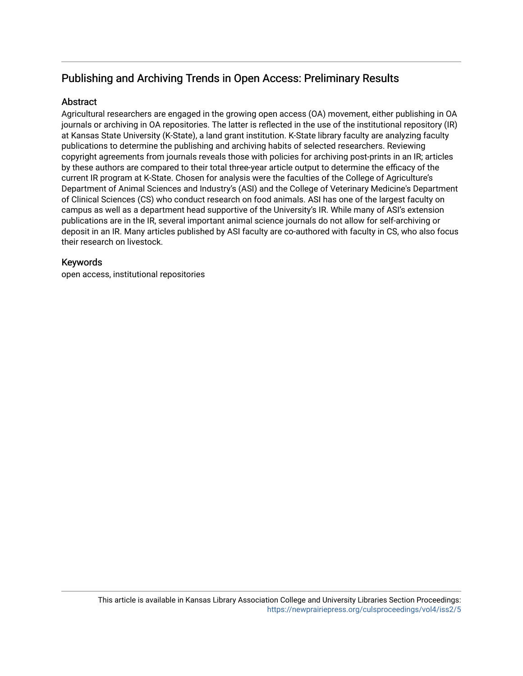# Publishing and Archiving Trends in Open Access: Preliminary Results

## **Abstract**

Agricultural researchers are engaged in the growing open access (OA) movement, either publishing in OA journals or archiving in OA repositories. The latter is reflected in the use of the institutional repository (IR) at Kansas State University (K-State), a land grant institution. K-State library faculty are analyzing faculty publications to determine the publishing and archiving habits of selected researchers. Reviewing copyright agreements from journals reveals those with policies for archiving post-prints in an IR; articles by these authors are compared to their total three-year article output to determine the efficacy of the current IR program at K-State. Chosen for analysis were the faculties of the College of Agriculture's Department of Animal Sciences and Industry's (ASI) and the College of Veterinary Medicine's Department of Clinical Sciences (CS) who conduct research on food animals. ASI has one of the largest faculty on campus as well as a department head supportive of the University's IR. While many of ASI's extension publications are in the IR, several important animal science journals do not allow for self-archiving or deposit in an IR. Many articles published by ASI faculty are co-authored with faculty in CS, who also focus their research on livestock.

## Keywords

open access, institutional repositories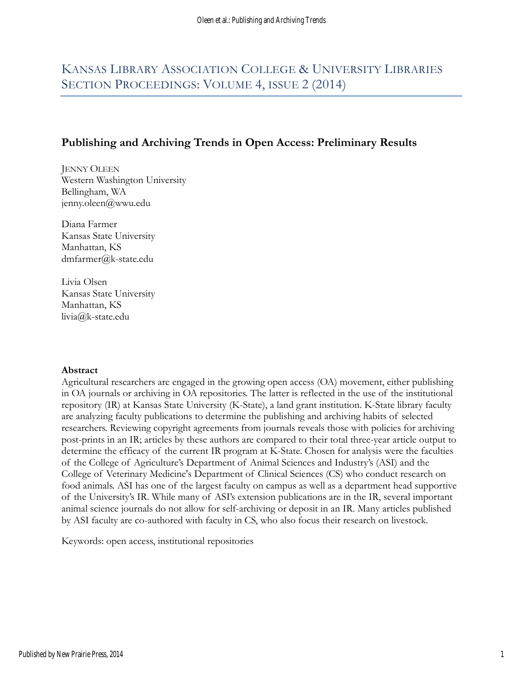# KANSAS LIBRARY ASSOCIATION COLLEGE & UNIVERSITY LIBRARIES SECTION PROCEEDINGS: VOLUME 4, ISSUE 2 (2014)

# Publishing and Archiving Trends in Open Access: Preliminary Results

JENNY OLEEN Western Washington University Bellingham, WA jenny.oleen@wwu.edu

Diana Farmer Kansas State University Manhattan, KS dmfarmer@k-state.edu

Livia Olsen Kansas State University Manhattan, KS livia@k-state.edu

#### Abstract

Agricultural researchers are engaged in the growing open access (OA) movement, either publishing in OA journals or archiving in OA repositories. The latter is reflected in the use of the institutional repository (IR) at Kansas State University (K-State), a land grant institution. K-State library faculty are analyzing faculty publications to determine the publishing and archiving habits of selected researchers. Reviewing copyright agreements from journals reveals those with policies for archiving post-prints in an IR; articles by these authors are compared to their total three-year article output to determine the efficacy of the current IR program at K-State. Chosen for analysis were the faculties of the College of Agriculture's Department of Animal Sciences and Industry's (ASI) and the College of Veterinary Medicine's Department of Clinical Sciences (CS) who conduct research on food animals. ASI has one of the largest faculty on campus as well as a department head supportive of the University's IR. While many of ASI's extension publications are in the IR, several important animal science journals do not allow for self-archiving or deposit in an IR. Many articles published by ASI faculty are co-authored with faculty in CS, who also focus their research on livestock.

Keywords: open access, institutional repositories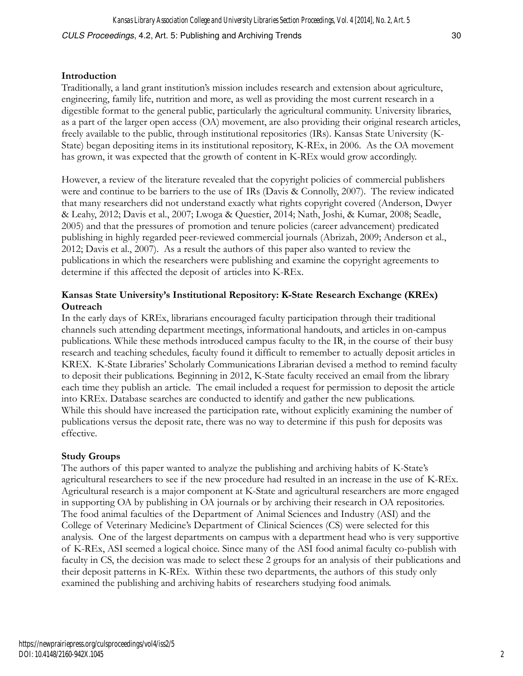### Introduction

Traditionally, a land grant institution's mission includes research and extension about agriculture, engineering, family life, nutrition and more, as well as providing the most current research in a digestible format to the general public, particularly the agricultural community. University libraries, as a part of the larger open access (OA) movement, are also providing their original research articles, freely available to the public, through institutional repositories (IRs). Kansas State University (K-State) began depositing items in its institutional repository, K-REx, in 2006. As the OA movement has grown, it was expected that the growth of content in K-REx would grow accordingly.

However, a review of the literature revealed that the copyright policies of commercial publishers were and continue to be barriers to the use of IRs (Davis & Connolly, 2007). The review indicated that many researchers did not understand exactly what rights copyright covered (Anderson, Dwyer & Leahy, 2012; Davis et al., 2007; Lwoga & Questier, 2014; Nath, Joshi, & Kumar, 2008; Seadle, 2005) and that the pressures of promotion and tenure policies (career advancement) predicated publishing in highly regarded peer-reviewed commercial journals (Abrizah, 2009; Anderson et al., 2012; Davis et al., 2007). As a result the authors of this paper also wanted to review the publications in which the researchers were publishing and examine the copyright agreements to determine if this affected the deposit of articles into K-REx.

# Kansas State University's Institutional Repository: K-State Research Exchange (KREx) **Outreach**

In the early days of KREx, librarians encouraged faculty participation through their traditional channels such attending department meetings, informational handouts, and articles in on-campus publications. While these methods introduced campus faculty to the IR, in the course of their busy research and teaching schedules, faculty found it difficult to remember to actually deposit articles in KREX. K-State Libraries' Scholarly Communications Librarian devised a method to remind faculty to deposit their publications. Beginning in 2012, K-State faculty received an email from the library each time they publish an article. The email included a request for permission to deposit the article into KREx. Database searches are conducted to identify and gather the new publications. While this should have increased the participation rate, without explicitly examining the number of publications versus the deposit rate, there was no way to determine if this push for deposits was effective.

#### Study Groups

The authors of this paper wanted to analyze the publishing and archiving habits of K-State's agricultural researchers to see if the new procedure had resulted in an increase in the use of K-REx. Agricultural research is a major component at K-State and agricultural researchers are more engaged in supporting OA by publishing in OA journals or by archiving their research in OA repositories. The food animal faculties of the Department of Animal Sciences and Industry (ASI) and the College of Veterinary Medicine's Department of Clinical Sciences (CS) were selected for this analysis. One of the largest departments on campus with a department head who is very supportive of K-REx, ASI seemed a logical choice. Since many of the ASI food animal faculty co-publish with faculty in CS, the decision was made to select these 2 groups for an analysis of their publications and their deposit patterns in K-REx. Within these two departments, the authors of this study only examined the publishing and archiving habits of researchers studying food animals.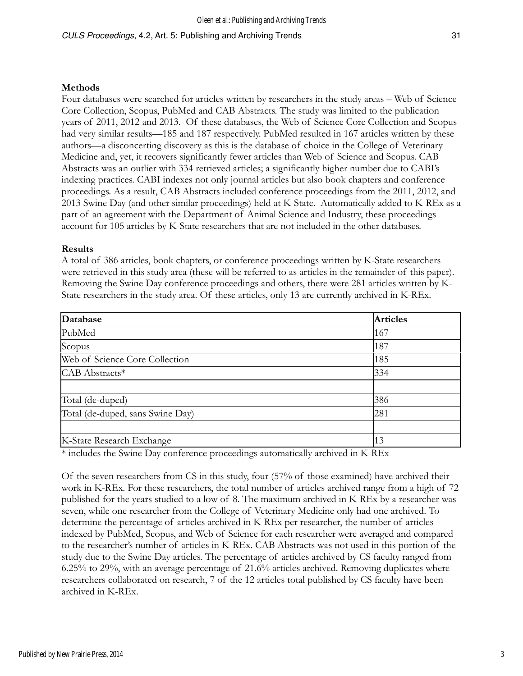#### Methods

Four databases were searched for articles written by researchers in the study areas – Web of Science Core Collection, Scopus, PubMed and CAB Abstracts. The study was limited to the publication years of 2011, 2012 and 2013. Of these databases, the Web of Science Core Collection and Scopus had very similar results—185 and 187 respectively. PubMed resulted in 167 articles written by these authors—a disconcerting discovery as this is the database of choice in the College of Veterinary Medicine and, yet, it recovers significantly fewer articles than Web of Science and Scopus. CAB Abstracts was an outlier with 334 retrieved articles; a significantly higher number due to CABI's indexing practices. CABI indexes not only journal articles but also book chapters and conference proceedings. As a result, CAB Abstracts included conference proceedings from the 2011, 2012, and 2013 Swine Day (and other similar proceedings) held at K-State. Automatically added to K-REx as a part of an agreement with the Department of Animal Science and Industry, these proceedings account for 105 articles by K-State researchers that are not included in the other databases.

#### Results

A total of 386 articles, book chapters, or conference proceedings written by K-State researchers were retrieved in this study area (these will be referred to as articles in the remainder of this paper). Removing the Swine Day conference proceedings and others, there were 281 articles written by K-State researchers in the study area. Of these articles, only 13 are currently archived in K-REx.

| Database                                                                                                 | <b>Articles</b> |
|----------------------------------------------------------------------------------------------------------|-----------------|
| PubMed                                                                                                   | 167             |
| Scopus                                                                                                   | 187             |
| Web of Science Core Collection                                                                           | 185             |
| CAB Abstracts*                                                                                           | 334             |
|                                                                                                          |                 |
| Total (de-duped)                                                                                         | 386             |
| Total (de-duped, sans Swine Day)                                                                         | 281             |
|                                                                                                          |                 |
| K-State Research Exchange                                                                                | 13              |
| $\star$ 11 de $\sim$ 0 de $\sim$ 1 de $\sim$ 1 de $\sim$ 1 de $\sim$ 1 de $\sim$ 1 de $\sim$ 1 de $\sim$ |                 |

\* includes the Swine Day conference proceedings automatically archived in K-REx

Of the seven researchers from CS in this study, four (57% of those examined) have archived their work in K-REx. For these researchers, the total number of articles archived range from a high of 72 published for the years studied to a low of 8. The maximum archived in K-REx by a researcher was seven, while one researcher from the College of Veterinary Medicine only had one archived. To determine the percentage of articles archived in K-REx per researcher, the number of articles indexed by PubMed, Scopus, and Web of Science for each researcher were averaged and compared to the researcher's number of articles in K-REx. CAB Abstracts was not used in this portion of the study due to the Swine Day articles. The percentage of articles archived by CS faculty ranged from 6.25% to 29%, with an average percentage of 21.6% articles archived. Removing duplicates where researchers collaborated on research, 7 of the 12 articles total published by CS faculty have been archived in K-REx.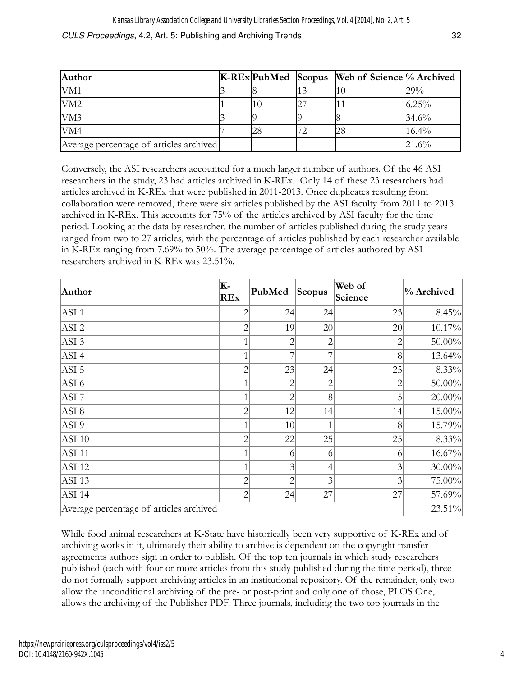| <b>Author</b>                           |    | K-REx PubMed Scopus Web of Science % Archived |          |
|-----------------------------------------|----|-----------------------------------------------|----------|
| VM1                                     |    |                                               | 29%      |
| VM2                                     | 10 |                                               | 6.25%    |
| VM3                                     |    |                                               | 34.6%    |
| VM4                                     | 28 | 28                                            | 16.4%    |
| Average percentage of articles archived |    |                                               | $21.6\%$ |

Conversely, the ASI researchers accounted for a much larger number of authors. Of the 46 ASI researchers in the study, 23 had articles archived in K-REx. Only 14 of these 23 researchers had articles archived in K-REx that were published in 2011-2013. Once duplicates resulting from collaboration were removed, there were six articles published by the ASI faculty from 2011 to 2013 archived in K-REx. This accounts for 75% of the articles archived by ASI faculty for the time period. Looking at the data by researcher, the number of articles published during the study years ranged from two to 27 articles, with the percentage of articles published by each researcher available in K-REx ranging from 7.69% to 50%. The average percentage of articles authored by ASI researchers archived in K-REx was 23.51%.

| Author                                  | K-<br><b>REx</b> | PubMed         | Scopus         | Web of<br>Science | % Archived |
|-----------------------------------------|------------------|----------------|----------------|-------------------|------------|
| ASI <sub>1</sub>                        | $\overline{c}$   | 24             | 24             | 23                | 8.45%      |
| ASI <sub>2</sub>                        | $\overline{c}$   | 19             | 20             | 20                | 10.17%     |
| $ASI$ 3                                 | 1                | $\overline{2}$ | 2              |                   | $50.00\%$  |
| $ASI$ 4                                 | 1                | 7              | 7              | 8                 | $13.64\%$  |
| $ASI$ 5                                 | $\overline{2}$   | 23             | 24             | 25                | 8.33%      |
| $ASI$ 6                                 | 1                | 2              | $\overline{2}$ |                   | 50.00%     |
| ASI 7                                   | 1                | $\overline{2}$ | 8              |                   | 20.00%     |
| ASI 8                                   | $\overline{c}$   | 12             | 14             | 14                | $15.00\%$  |
| ASI 9                                   | 1                | 10             |                | 8                 | 15.79%     |
| $ASI$ 10                                | $\overline{c}$   | 22             | 25             | 25                | 8.33%      |
| ASI11                                   | 1                | 6              | 6              | 6                 | $16.67\%$  |
| $ASI$ 12                                | 1                | 3              | 4              | 3                 | $30.00\%$  |
| $ASI$ 13                                | $\overline{c}$   | $\overline{2}$ | 3              | 3                 | $75.00\%$  |
| $ASI$ 14                                | $\overline{2}$   | 24             | 27             | 27                | 57.69%     |
| Average percentage of articles archived |                  |                |                |                   | $23.51\%$  |

While food animal researchers at K-State have historically been very supportive of K-REx and of archiving works in it, ultimately their ability to archive is dependent on the copyright transfer agreements authors sign in order to publish. Of the top ten journals in which study researchers published (each with four or more articles from this study published during the time period), three do not formally support archiving articles in an institutional repository. Of the remainder, only two allow the unconditional archiving of the pre- or post-print and only one of those, PLOS One, allows the archiving of the Publisher PDF. Three journals, including the two top journals in the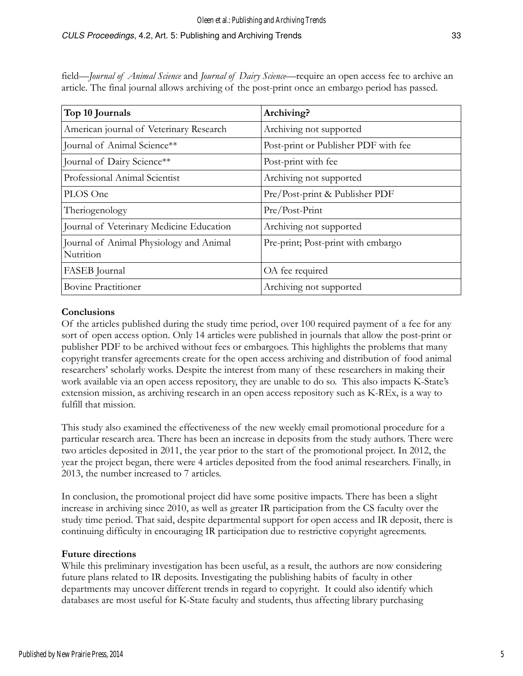### CULS Proceedings, 4.2, Art. 5: Publishing and Archiving Trends 33

field—*Journal of Animal Science* and *Journal of Dairy Science*—require an open access fee to archive an article. The final journal allows archiving of the post-print once an embargo period has passed.

| Top 10 Journals                                      | Archiving?                           |
|------------------------------------------------------|--------------------------------------|
| American journal of Veterinary Research              | Archiving not supported              |
| Journal of Animal Science**                          | Post-print or Publisher PDF with fee |
| Journal of Dairy Science**                           | Post-print with fee                  |
| Professional Animal Scientist                        | Archiving not supported              |
| PLOS One                                             | Pre/Post-print & Publisher PDF       |
| Theriogenology                                       | Pre/Post-Print                       |
| Journal of Veterinary Medicine Education             | Archiving not supported              |
| Journal of Animal Physiology and Animal<br>Nutrition | Pre-print; Post-print with embargo   |
| FASEB Journal                                        | OA fee required                      |
| <b>Bovine Practitioner</b>                           | Archiving not supported              |

#### **Conclusions**

Of the articles published during the study time period, over 100 required payment of a fee for any sort of open access option. Only 14 articles were published in journals that allow the post-print or publisher PDF to be archived without fees or embargoes. This highlights the problems that many copyright transfer agreements create for the open access archiving and distribution of food animal researchers' scholarly works. Despite the interest from many of these researchers in making their work available via an open access repository, they are unable to do so. This also impacts K-State's extension mission, as archiving research in an open access repository such as K-REx, is a way to fulfill that mission.

This study also examined the effectiveness of the new weekly email promotional procedure for a particular research area. There has been an increase in deposits from the study authors. There were two articles deposited in 2011, the year prior to the start of the promotional project. In 2012, the year the project began, there were 4 articles deposited from the food animal researchers. Finally, in 2013, the number increased to 7 articles.

In conclusion, the promotional project did have some positive impacts. There has been a slight increase in archiving since 2010, as well as greater IR participation from the CS faculty over the study time period. That said, despite departmental support for open access and IR deposit, there is continuing difficulty in encouraging IR participation due to restrictive copyright agreements.

#### Future directions

While this preliminary investigation has been useful, as a result, the authors are now considering future plans related to IR deposits. Investigating the publishing habits of faculty in other departments may uncover different trends in regard to copyright. It could also identify which databases are most useful for K-State faculty and students, thus affecting library purchasing